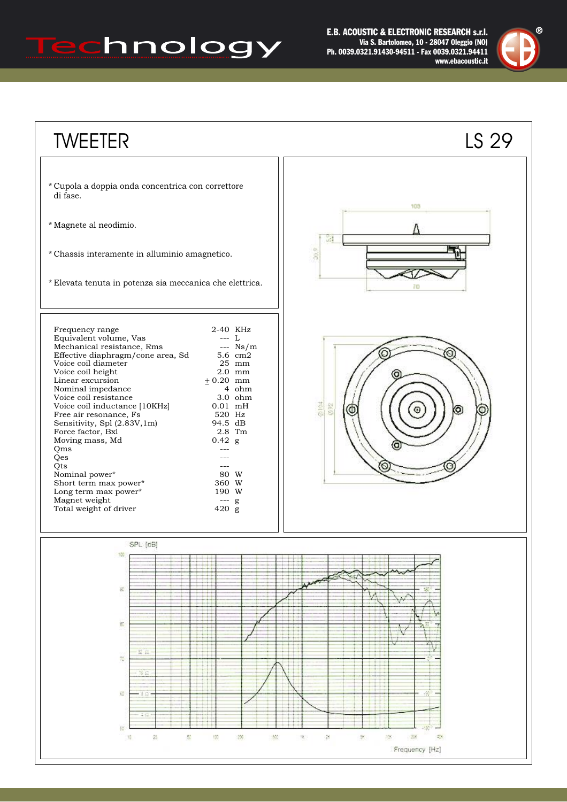## Technology